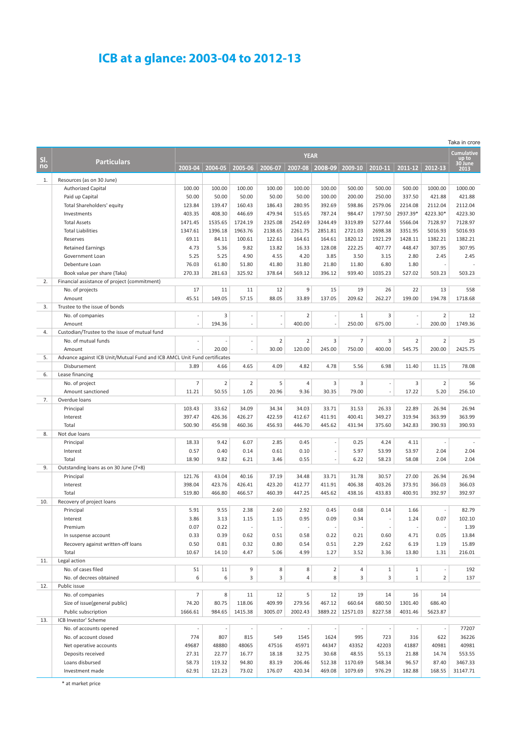## **ICB at a glance: 2003-04 to 2012-13**

|           |                                                                          |                  |                 |                          |                          |                   |                  |                    |                  |                   |                          | Taka in crore            |
|-----------|--------------------------------------------------------------------------|------------------|-----------------|--------------------------|--------------------------|-------------------|------------------|--------------------|------------------|-------------------|--------------------------|--------------------------|
|           |                                                                          | <b>YEAR</b>      |                 |                          |                          |                   |                  |                    |                  |                   | <b>Cumulative</b>        |                          |
| SI.<br>no | <b>Particulars</b>                                                       | 2003-04          | 2004-05         | 2005-06                  | 2006-07                  | 2007-08           | 2008-09          | 2009-10            | 2010-11          | 2011-12           | 2012-13                  | up to<br>30 June<br>2013 |
|           |                                                                          |                  |                 |                          |                          |                   |                  |                    |                  |                   |                          |                          |
| 1.        | Resources (as on 30 June)                                                |                  |                 |                          |                          |                   |                  |                    |                  |                   |                          |                          |
|           | <b>Authorized Capital</b>                                                | 100.00           | 100.00<br>50.00 | 100.00<br>50.00          | 100.00                   | 100.00            | 100.00           | 500.00<br>200.00   | 500.00<br>250.00 | 500.00            | 1000.00<br>421.88        | 1000.00<br>421.88        |
|           | Paid up Capital                                                          | 50.00<br>123.84  | 139.47          | 160.43                   | 50.00<br>186.43          | 50.00<br>280.95   | 100.00<br>392.69 | 598.86             | 2579.06          | 337.50<br>2214.08 | 2112.04                  | 2112.04                  |
|           | Total Shareholders' equity<br>Investments                                | 403.35           | 408.30          | 446.69                   | 479.94                   |                   | 787.24           | 984.47             | 1797.50          | 2937.39*          | 4223.30*                 | 4223.30                  |
|           | <b>Total Assets</b>                                                      | 1471.45          | 1535.65         | 1724.19                  | 2325.08                  | 515.65<br>2542.69 | 3244.49          | 3319.89            | 5277.44          | 5566.04           | 7128.97                  | 7128.97                  |
|           | <b>Total Liabilities</b>                                                 | 1347.61          | 1396.18         | 1963.76                  | 2138.65                  | 2261.75           | 2851.81          | 2721.03            | 2698.38          | 3351.95           | 5016.93                  | 5016.93                  |
|           | Reserves                                                                 | 69.11            | 84.11           | 100.61                   | 122.61                   | 164.61            | 164.61           | 1820.12            | 1921.29          | 1428.11           | 1382.21                  | 1382.21                  |
|           | <b>Retained Earnings</b>                                                 | 4.73             | 5.36            | 9.82                     | 13.82                    | 16.33             | 128.08           | 222.25             | 407.77           | 448.47            | 307.95                   | 307.95                   |
|           | Government Loan                                                          | 5.25             | 5.25            | 4.90                     | 4.55                     | 4.20              | 3.85             | 3.50               | 3.15             | 2.80              | 2.45                     | 2.45                     |
|           | Debenture Loan                                                           | 76.03            | 61.80           | 51.80                    | 41.80                    | 31.80             | 21.80            | 11.80              | 6.80             | 1.80              |                          |                          |
|           | Book value per share (Taka)                                              | 270.33           | 281.63          | 325.92                   | 378.64                   | 569.12            | 396.12           | 939.40             | 1035.23          | 527.02            | 503.23                   | 503.23                   |
| 2.        | Financial assistance of project (commitment)                             |                  |                 |                          |                          |                   |                  |                    |                  |                   |                          |                          |
|           | No. of projects                                                          | 17               | 11              | 11                       | 12                       | 9                 | 15               | 19                 | 26               | 22                | 13                       | 558                      |
|           | Amount                                                                   | 45.51            | 149.05          | 57.15                    | 88.05                    | 33.89             | 137.05           | 209.62             | 262.27           | 199.00            | 194.78                   | 1718.68                  |
| 3.        | Trustee to the issue of bonds                                            |                  |                 |                          |                          |                   |                  |                    |                  |                   |                          |                          |
|           | No. of companies                                                         | ÷,               | 3               | ÷,                       | ÷,                       | $\overline{2}$    | $\sim$           | $\mathbf{1}$       | 3                | $\sim$            | $\sqrt{2}$               | 12                       |
|           | Amount                                                                   |                  | 194.36          | i,                       |                          | 400.00            | ä,               | 250.00             | 675.00           |                   | 200.00                   | 1749.36                  |
| 4.        | Custodian/Trustee to the issue of mutual fund                            |                  |                 |                          |                          |                   |                  |                    |                  |                   |                          |                          |
|           | No. of mutual funds                                                      |                  |                 | $\sim$                   | $\overline{2}$           | $\overline{2}$    | $\overline{3}$   | $\overline{7}$     | 3                | $\overline{2}$    | $\overline{2}$           | 25                       |
|           | Amount                                                                   |                  | 20.00           | $\sim$                   | 30.00                    | 120.00            | 245.00           | 750.00             | 400.00           | 545.75            | 200.00                   | 2425.75                  |
| 5.        | Advance against ICB Unit/Mutual Fund and ICB AMCL Unit Fund certificates |                  |                 |                          |                          |                   |                  |                    |                  |                   |                          |                          |
|           | Disbursement                                                             | 3.89             | 4.66            | 4.65                     | 4.09                     | 4.82              | 4.78             | 5.56               | 6.98             | 11.40             | 11.15                    | 78.08                    |
| 6.        | Lease financing                                                          |                  |                 |                          |                          |                   |                  |                    |                  |                   |                          |                          |
|           | No. of project                                                           | $\overline{7}$   | $\overline{2}$  | $\overline{2}$           | 5                        | $\overline{4}$    | $\overline{3}$   | 3                  | ÷,               | 3                 | $\overline{2}$           | 56                       |
|           | Amount sanctioned                                                        | 11.21            | 50.55           | 1.05                     | 20.96                    | 9.36              | 30.35            | 79.00              | L,               | 17.22             | 5.20                     | 256.10                   |
| 7.        | Overdue loans                                                            |                  |                 |                          |                          |                   |                  |                    |                  |                   |                          |                          |
|           | Principal                                                                | 103.43           | 33.62           | 34.09                    | 34.34                    | 34.03             | 33.71            | 31.53              | 26.33            | 22.89             | 26.94                    | 26.94                    |
|           | Interest                                                                 | 397.47           | 426.36          | 426.27                   | 422.59                   | 412.67            | 411.91           | 400.41             | 349.27           | 319.94            | 363.99                   | 363.99                   |
|           | Total                                                                    | 500.90           | 456.98          | 460.36                   | 456.93                   | 446.70            | 445.62           | 431.94             | 375.60           | 342.83            | 390.93                   | 390.93                   |
| 8.        | Not due loans                                                            |                  |                 |                          |                          |                   |                  |                    |                  |                   |                          |                          |
|           | Principal                                                                | 18.33            | 9.42            | 6.07                     | 2.85                     | 0.45              | ä,               | 0.25               | 4.24             | 4.11              |                          |                          |
|           | Interest                                                                 | 0.57             | 0.40            | 0.14                     | 0.61                     | 0.10              | $\bar{a}$        | 5.97               | 53.99            | 53.97             | 2.04                     | 2.04                     |
|           | Total                                                                    | 18.90            | 9.82            | 6.21                     | 3.46                     | 0.55              | ä,               | 6.22               | 58.23            | 58.08             | 2.04                     | 2.04                     |
| 9.        | Outstanding loans as on 30 June (7+8)                                    |                  |                 |                          |                          |                   |                  |                    |                  |                   |                          |                          |
|           | Principal<br>Interest                                                    | 121.76<br>398.04 | 43.04<br>423.76 | 40.16<br>426.41          | 37.19                    | 34.48<br>412.77   | 33.71<br>411.91  | 31.78<br>406.38    | 30.57<br>403.26  | 27.00<br>373.91   | 26.94<br>366.03          | 26.94<br>366.03          |
|           | Total                                                                    | 519.80           | 466.80          | 466.57                   | 423.20<br>460.39         | 447.25            | 445.62           | 438.16             | 433.83           | 400.91            | 392.97                   | 392.97                   |
| 10.       | Recovery of project loans                                                |                  |                 |                          |                          |                   |                  |                    |                  |                   |                          |                          |
|           | Principal                                                                | 5.91             | 9.55            | 2.38                     | 2.60                     | 2.92              | 0.45             | 0.68               | 0.14             | 1.66              |                          | 82.79                    |
|           | Interest                                                                 | 3.86             | 3.13            | 1.15                     | 1.15                     | 0.95              | 0.09             | 0.34               | ä,               | 1.24              | 0.07                     | 102.10                   |
|           | Premium                                                                  | 0.07             | 0.22            |                          |                          |                   |                  |                    |                  |                   |                          | 1.39                     |
|           | In suspense account                                                      | 0.33             | 0.39            | 0.62                     | 0.51                     | 0.58              | 0.22             | 0.21               | 0.60             | 4.71              | 0.05                     | 13.84                    |
|           | Recovery against written-off loans                                       | 0.50             | 0.81            | 0.32                     | 0.80                     | 0.54              | 0.51             | 2.29               | 2.62             | 6.19              | 1.19                     | 15.89                    |
|           | Total                                                                    | 10.67            | 14.10           | 4.47                     | 5.06                     | 4.99              | 1.27             | 3.52               | 3.36             | 13.80             | 1.31                     | 216.01                   |
| 11.       | Legal action                                                             |                  |                 |                          |                          |                   |                  |                    |                  |                   |                          |                          |
|           | No. of cases filed                                                       | 51               | 11              | 9                        | 8                        | 8                 | $\overline{2}$   | 4                  | $\mathbf{1}$     | $\mathbf{1}$      |                          | 192                      |
|           | No. of decrees obtained                                                  | 6                | 6               | 3                        | 3                        | 4                 | 8                | 3                  | 3                | $\mathbf{1}$      | $\overline{2}$           | 137                      |
| 12.       | Public issue                                                             |                  |                 |                          |                          |                   |                  |                    |                  |                   |                          |                          |
|           | No. of companies                                                         | $\overline{7}$   | 8               | 11                       | 12                       | 5                 | 12               | 19                 | 14               | 16                | 14                       |                          |
|           | Size of issue(general public)                                            | 74.20            | 80.75           | 118.06                   | 409.99                   | 279.56            | 467.12           | 660.64             | 680.50           | 1301.40           | 686.40                   |                          |
|           | Public subscription                                                      | 1666.61          | 984.65          | 1415.38                  | 3005.07                  | 2002.43           |                  | 3889.22   12571.03 | 8227.58          | 4031.46           | 5623.87                  |                          |
| 13.       | ICB Investor' Scheme                                                     |                  |                 |                          |                          |                   |                  |                    |                  |                   |                          |                          |
|           | No. of accounts opened                                                   |                  |                 | $\overline{\phantom{a}}$ | $\overline{\phantom{a}}$ |                   |                  |                    |                  |                   | $\overline{\phantom{a}}$ | 77207                    |
|           | No. of account closed                                                    | 774              | 807             | 815                      | 549                      | 1545              | 1624             | 995                | 723              | 316               | 622                      | 36226                    |
|           | Net operative accounts                                                   | 49687            | 48880           | 48065                    | 47516                    | 45971             | 44347            | 43352              | 42203            | 41887             | 40981                    | 40981                    |
|           | Deposits received                                                        | 27.31            | 22.77           | 16.77                    | 18.18                    | 32.75             | 30.68            | 48.55              | 55.13            | 21.88             | 14.74                    | 553.55                   |
|           | Loans disbursed                                                          | 58.73            | 119.32          | 94.80                    | 83.19                    | 206.46            | 512.38           | 1170.69            | 548.34           | 96.57             | 87.40                    | 3467.33                  |
|           | Investment made                                                          | 62.91            | 121.23          | 73.02                    | 176.07                   | 420.34            | 469.08           | 1079.69            | 976.29           | 182.88            | 168.55                   | 31147.71                 |
|           |                                                                          |                  |                 |                          |                          |                   |                  |                    |                  |                   |                          |                          |

\* at market price